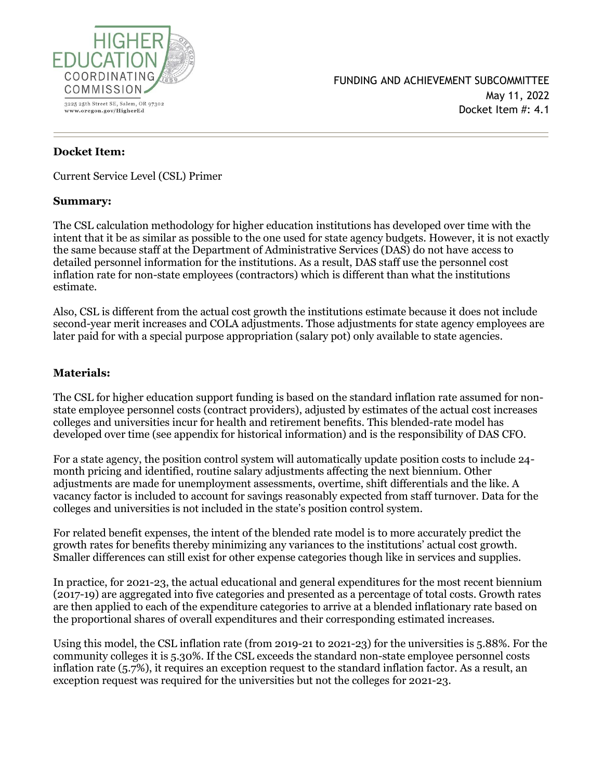

# **Docket Item:**

Current Service Level (CSL) Primer

### **Summary:**

The CSL calculation methodology for higher education institutions has developed over time with the intent that it be as similar as possible to the one used for state agency budgets. However, it is not exactly the same because staff at the Department of Administrative Services (DAS) do not have access to detailed personnel information for the institutions. As a result, DAS staff use the personnel cost inflation rate for non-state employees (contractors) which is different than what the institutions estimate.

Also, CSL is different from the actual cost growth the institutions estimate because it does not include second-year merit increases and COLA adjustments. Those adjustments for state agency employees are later paid for with a special purpose appropriation (salary pot) only available to state agencies.

# **Materials:**

The CSL for higher education support funding is based on the standard inflation rate assumed for nonstate employee personnel costs (contract providers), adjusted by estimates of the actual cost increases colleges and universities incur for health and retirement benefits. This blended-rate model has developed over time (see appendix for historical information) and is the responsibility of DAS CFO.

For a state agency, the position control system will automatically update position costs to include 24 month pricing and identified, routine salary adjustments affecting the next biennium. Other adjustments are made for unemployment assessments, overtime, shift differentials and the like. A vacancy factor is included to account for savings reasonably expected from staff turnover. Data for the colleges and universities is not included in the state's position control system.

For related benefit expenses, the intent of the blended rate model is to more accurately predict the growth rates for benefits thereby minimizing any variances to the institutions' actual cost growth. Smaller differences can still exist for other expense categories though like in services and supplies.

In practice, for 2021-23, the actual educational and general expenditures for the most recent biennium (2017-19) are aggregated into five categories and presented as a percentage of total costs. Growth rates are then applied to each of the expenditure categories to arrive at a blended inflationary rate based on the proportional shares of overall expenditures and their corresponding estimated increases.

Using this model, the CSL inflation rate (from 2019-21 to 2021-23) for the universities is 5.88%. For the community colleges it is 5.30%. If the CSL exceeds the standard non-state employee personnel costs inflation rate (5.7%), it requires an exception request to the standard inflation factor. As a result, an exception request was required for the universities but not the colleges for 2021-23.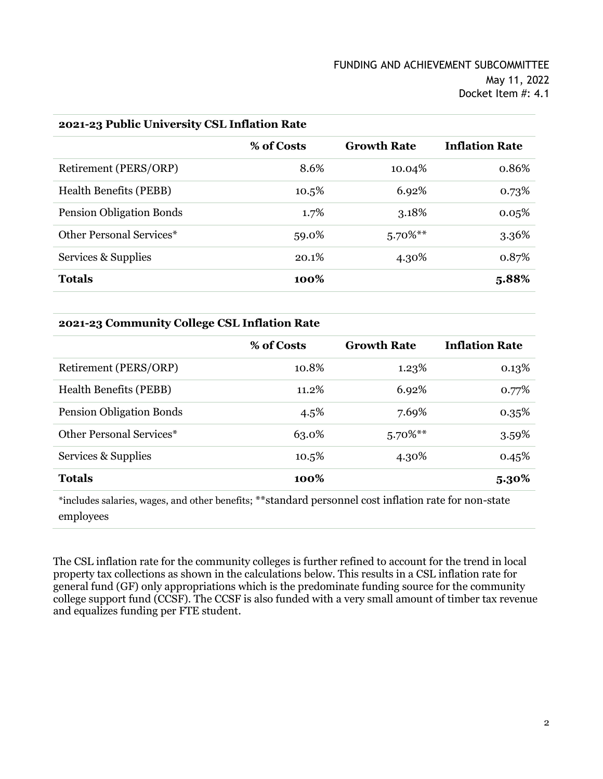| $2021$ - $231$ apply University CSL Initiation Rate |            |                    |                       |  |
|-----------------------------------------------------|------------|--------------------|-----------------------|--|
|                                                     | % of Costs | <b>Growth Rate</b> | <b>Inflation Rate</b> |  |
| Retirement (PERS/ORP)                               | 8.6%       | 10.04%             | 0.86%                 |  |
| <b>Health Benefits (PEBB)</b>                       | 10.5%      | 6.92%              | 0.73%                 |  |
| <b>Pension Obligation Bonds</b>                     | 1.7%       | 3.18%              | 0.05%                 |  |
| Other Personal Services*                            | 59.0%      | $5.70\%$ **        | 3.36%                 |  |
| Services & Supplies                                 | 20.1%      | 4.30%              | 0.87%                 |  |
| <b>Totals</b>                                       | 100%       |                    | 5.88%                 |  |
|                                                     |            |                    |                       |  |

#### **2021-23 Public University CSL Inflation Rate**

#### **2021-23 Community College CSL Inflation Rate**

|                                 | % of Costs | <b>Growth Rate</b> | <b>Inflation Rate</b> |
|---------------------------------|------------|--------------------|-----------------------|
| Retirement (PERS/ORP)           | 10.8%      | 1.23%              | 0.13%                 |
| <b>Health Benefits (PEBB)</b>   | 11.2%      | 6.92%              | 0.77%                 |
| <b>Pension Obligation Bonds</b> | 4.5%       | 7.69%              | 0.35%                 |
| Other Personal Services*        | 63.0%      | $5.70\%$ **        | 3.59%                 |
| Services & Supplies             | 10.5%      | 4.30%              | 0.45%                 |
| <b>Totals</b>                   | 100%       |                    | $5.30\%$              |

\*includes salaries, wages, and other benefits; \*\*standard personnel cost inflation rate for non-state employees

The CSL inflation rate for the community colleges is further refined to account for the trend in local property tax collections as shown in the calculations below. This results in a CSL inflation rate for general fund (GF) only appropriations which is the predominate funding source for the community college support fund (CCSF). The CCSF is also funded with a very small amount of timber tax revenue and equalizes funding per FTE student.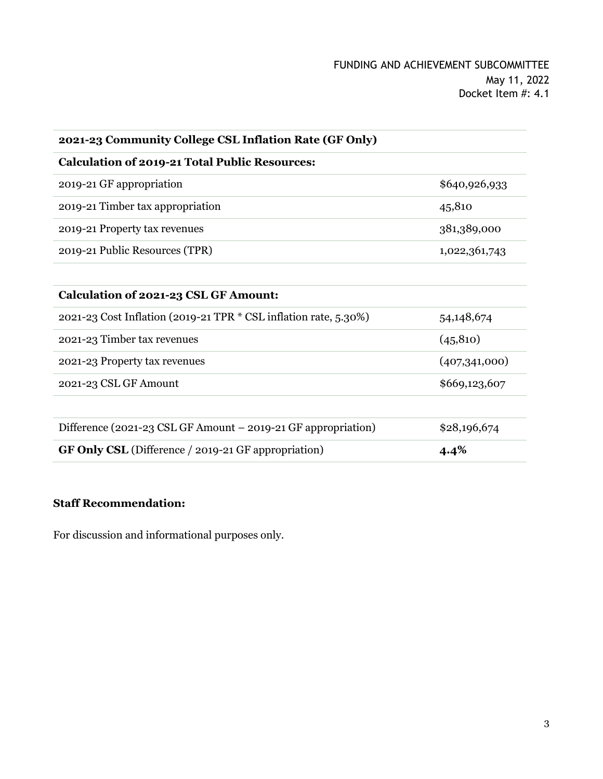| \$640,926,933 |
|---------------|
| 45,810        |
| 381,389,000   |
| 1,022,361,743 |
|               |
|               |
| 54,148,674    |
| (45, 810)     |
| (407,341,000) |
| \$669,123,607 |
|               |
| \$28,196,674  |
| 4.4%          |
|               |

# **Staff Recommendation:**

For discussion and informational purposes only.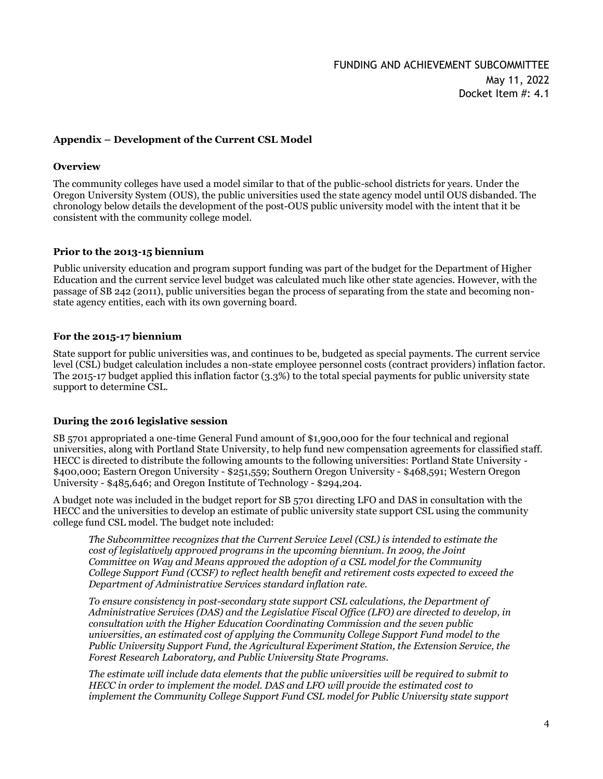#### **Appendix – Development of the Current CSL Model**

#### **Overview**

The community colleges have used a model similar to that of the public-school districts for years. Under the Oregon University System (OUS), the public universities used the state agency model until OUS disbanded. The chronology below details the development of the post-OUS public university model with the intent that it be consistent with the community college model.

#### **Prior to the 2013-15 biennium**

Public university education and program support funding was part of the budget for the Department of Higher Education and the current service level budget was calculated much like other state agencies. However, with the passage of SB 242 (2011), public universities began the process of separating from the state and becoming nonstate agency entities, each with its own governing board.

#### **For the 2015-17 biennium**

State support for public universities was, and continues to be, budgeted as special payments. The current service level (CSL) budget calculation includes a non-state employee personnel costs (contract providers) inflation factor. The 2015-17 budget applied this inflation factor (3.3%) to the total special payments for public university state support to determine CSL.

#### **During the 2016 legislative session**

SB 5701 appropriated a one-time General Fund amount of \$1,900,000 for the four technical and regional universities, along with Portland State University, to help fund new compensation agreements for classified staff. HECC is directed to distribute the following amounts to the following universities: Portland State University - \$400,000; Eastern Oregon University - \$251,559; Southern Oregon University - \$468,591; Western Oregon University - \$485,646; and Oregon Institute of Technology - \$294,204.

A budget note was included in the budget report for SB 5701 directing LFO and DAS in consultation with the HECC and the universities to develop an estimate of public university state support CSL using the community college fund CSL model. The budget note included:

*The Subcommittee recognizes that the Current Service Level (CSL) is intended to estimate the cost of legislatively approved programs in the upcoming biennium. In 2009, the Joint Committee on Way and Means approved the adoption of a CSL model for the Community College Support Fund (CCSF) to reflect health benefit and retirement costs expected to exceed the Department of Administrative Services standard inflation rate.*

*To ensure consistency in post-secondary state support CSL calculations, the Department of Administrative Services (DAS) and the Legislative Fiscal Office (LFO) are directed to develop, in consultation with the Higher Education Coordinating Commission and the seven public universities, an estimated cost of applying the Community College Support Fund model to the Public University Support Fund, the Agricultural Experiment Station, the Extension Service, the Forest Research Laboratory, and Public University State Programs.*

*The estimate will include data elements that the public universities will be required to submit to HECC in order to implement the model. DAS and LFO will provide the estimated cost to implement the Community College Support Fund CSL model for Public University state support*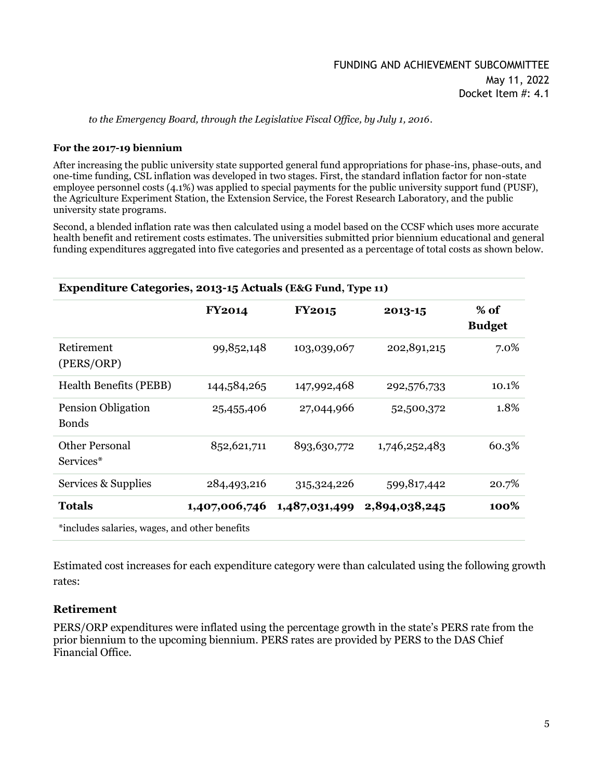*to the Emergency Board, through the Legislative Fiscal Office, by July 1, 2016*.

#### **For the 2017-19 biennium**

After increasing the public university state supported general fund appropriations for phase-ins, phase-outs, and one-time funding, CSL inflation was developed in two stages. First, the standard inflation factor for non-state employee personnel costs (4.1%) was applied to special payments for the public university support fund (PUSF), the Agriculture Experiment Station, the Extension Service, the Forest Research Laboratory, and the public university state programs.

Second, a blended inflation rate was then calculated using a model based on the CCSF which uses more accurate health benefit and retirement costs estimates. The universities submitted prior biennium educational and general funding expenditures aggregated into five categories and presented as a percentage of total costs as shown below.

| Expenditure Categories, 2013-15 Actuals (E&G Fund, Type 11) |               |               |                             |                         |  |
|-------------------------------------------------------------|---------------|---------------|-----------------------------|-------------------------|--|
|                                                             | <b>FY2014</b> | <b>FY2015</b> | 2013-15                     | $%$ of<br><b>Budget</b> |  |
| Retirement<br>(PERS/ORP)                                    | 99,852,148    | 103,039,067   | 202,891,215                 | 7.0%                    |  |
| <b>Health Benefits (PEBB)</b>                               | 144,584,265   | 147,992,468   | 292,576,733                 | 10.1%                   |  |
| <b>Pension Obligation</b><br><b>Bonds</b>                   | 25,455,406    | 27,044,966    | 52,500,372                  | 1.8%                    |  |
| <b>Other Personal</b><br>Services <sup>*</sup>              | 852,621,711   | 893,630,772   | 1,746,252,483               | 60.3%                   |  |
| Services & Supplies                                         | 284,493,216   | 315,324,226   | 599,817,442                 | 20.7%                   |  |
| <b>Totals</b>                                               | 1,407,006,746 |               | 1,487,031,499 2,894,038,245 | 100%                    |  |
| *includes salaries, wages, and other benefits               |               |               |                             |                         |  |

Estimated cost increases for each expenditure category were than calculated using the following growth rates:

### **Retirement**

PERS/ORP expenditures were inflated using the percentage growth in the state's PERS rate from the prior biennium to the upcoming biennium. PERS rates are provided by PERS to the DAS Chief Financial Office.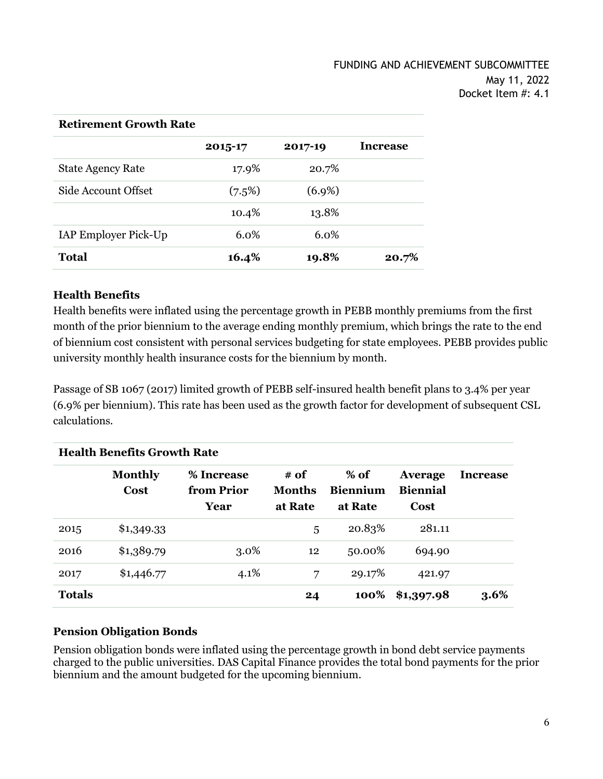| *************************** |         |           |                 |  |
|-----------------------------|---------|-----------|-----------------|--|
|                             | 2015-17 | 2017-19   | <b>Increase</b> |  |
| <b>State Agency Rate</b>    | 17.9%   | 20.7%     |                 |  |
| Side Account Offset         | (7.5%)  | $(6.9\%)$ |                 |  |
|                             | 10.4%   | 13.8%     |                 |  |
| IAP Employer Pick-Up        | $6.0\%$ | 6.0%      |                 |  |
| <b>Total</b>                | 16.4%   | 19.8%     | 20.7%           |  |

#### **Retirement Growth Rate**

### **Health Benefits**

Health benefits were inflated using the percentage growth in PEBB monthly premiums from the first month of the prior biennium to the average ending monthly premium, which brings the rate to the end of biennium cost consistent with personal services budgeting for state employees. PEBB provides public university monthly health insurance costs for the biennium by month.

Passage of SB 1067 (2017) limited growth of PEBB self-insured health benefit plans to 3.4% per year (6.9% per biennium). This rate has been used as the growth factor for development of subsequent CSL calculations.

| <b>Health Benefits Growth Rate</b> |                               |                                  |                           |                                      |                                           |                 |
|------------------------------------|-------------------------------|----------------------------------|---------------------------|--------------------------------------|-------------------------------------------|-----------------|
|                                    | <b>Monthly</b><br><b>Cost</b> | % Increase<br>from Prior<br>Year | # of<br>Months<br>at Rate | $%$ of<br><b>Biennium</b><br>at Rate | <b>Average</b><br><b>Biennial</b><br>Cost | <b>Increase</b> |
| 2015                               | \$1,349.33                    |                                  | 5                         | 20.83%                               | 281.11                                    |                 |
| 2016                               | \$1,389.79                    | $3.0\%$                          | 12                        | 50.00%                               | 694.90                                    |                 |
| 2017                               | \$1,446.77                    | $4.1\%$                          | 7                         | 29.17%                               | 421.97                                    |                 |
| <b>Totals</b>                      |                               |                                  | 24                        | 100%                                 | \$1,397.98                                | 3.6%            |

### **Pension Obligation Bonds**

Pension obligation bonds were inflated using the percentage growth in bond debt service payments charged to the public universities. DAS Capital Finance provides the total bond payments for the prior biennium and the amount budgeted for the upcoming biennium.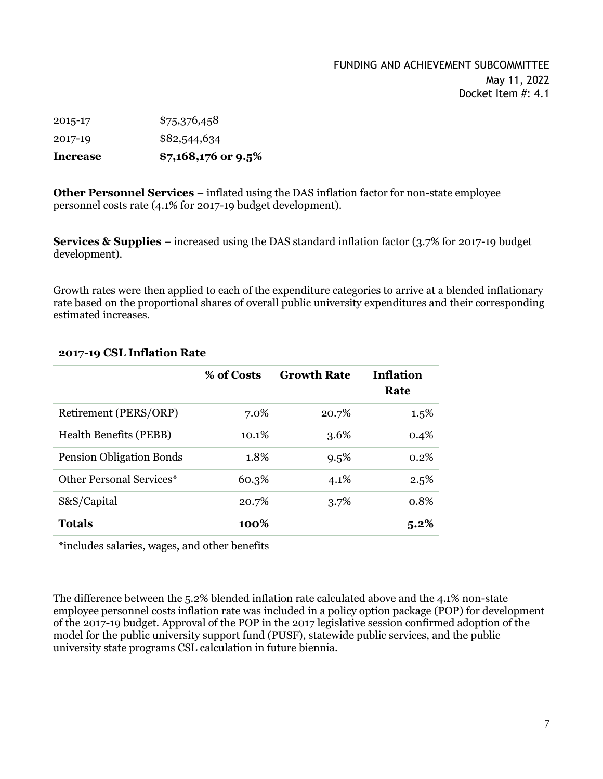### FUNDING AND ACHIEVEMENT SUBCOMMITTEE May 11, 2022 Docket Item #: 4.1

2015-17 \$75,376,458 2017-19 \$82,544,634 **Increase \$7,168,176 or 9.5%**

**Other Personnel Services** – inflated using the DAS inflation factor for non-state employee personnel costs rate (4.1% for 2017-19 budget development).

**Services & Supplies** – increased using the DAS standard inflation factor (3.7% for 2017-19 budget development).

Growth rates were then applied to each of the expenditure categories to arrive at a blended inflationary rate based on the proportional shares of overall public university expenditures and their corresponding estimated increases.

| 2017-19 CSL Inflation Rate                    |            |                    |                          |  |
|-----------------------------------------------|------------|--------------------|--------------------------|--|
|                                               | % of Costs | <b>Growth Rate</b> | <b>Inflation</b><br>Rate |  |
| Retirement (PERS/ORP)                         | 7.0%       | 20.7%              | $1.5\%$                  |  |
| <b>Health Benefits (PEBB)</b>                 | $10.1\%$   | 3.6%               | 0.4%                     |  |
| <b>Pension Obligation Bonds</b>               | 1.8%       | 9.5%               | $0.2\%$                  |  |
| <b>Other Personal Services*</b>               | 60.3%      | 4.1%               | 2.5%                     |  |
| S&S/Capital                                   | 20.7%      | 3.7%               | 0.8%                     |  |
| <b>Totals</b>                                 | 100%       |                    | 5.2%                     |  |
| *includes salaries, wages, and other benefits |            |                    |                          |  |

The difference between the 5.2% blended inflation rate calculated above and the 4.1% non-state employee personnel costs inflation rate was included in a policy option package (POP) for development of the 2017-19 budget. Approval of the POP in the 2017 legislative session confirmed adoption of the model for the public university support fund (PUSF), statewide public services, and the public university state programs CSL calculation in future biennia.